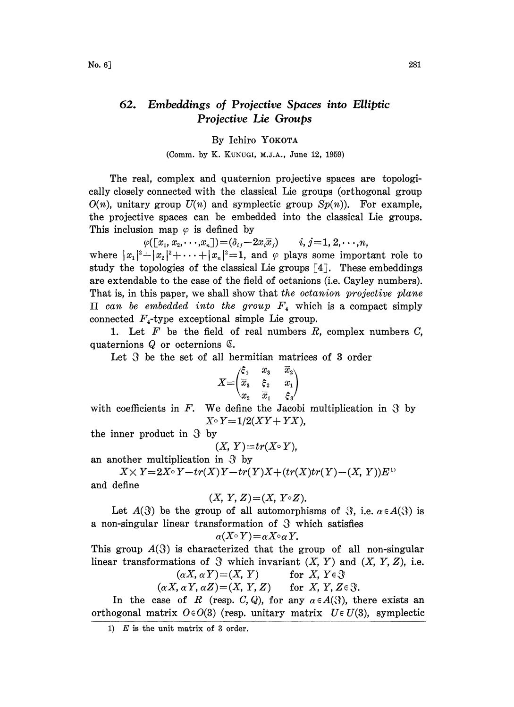## 62. Embeddings of Projective Spaces into Elliptic Projective Lie Groups

## By Iehiro YOKOTA

## (Comm. by K. KUNUGI, M.J.A., June 12, 1959)

The real, complex and quaternion projective spaces are topologically closely connected with the classical Lie groups (orthogonal group  $O(n)$ , unitary group  $U(n)$  and symplectic group  $Sp(n)$ ). For example, the projective spaces can be embedded into the classical Lie groups. This inclusion map  $\varphi$  is defined by

 $\varphi([x_1, x_2, \cdots, x_n])\!=\!(\delta_{ij}-2x_i\overline{x}_j) \qquad i, j = 1, 2, \cdots, n,$ where  $|x_1|^2+|x_2|^2+\cdots+|x_n|^2=1$ , and  $\varphi$  plays some important role to study the topologies of the classical Lie groups  $[4]$ . These embeddings are extendable to the case of the field of octanions (i.e. Cayley numbers). That is, in this paper, we shall show that the octanion projective plane  $\Pi$  can be embedded into the group  $F_4$  which is a compact simply connected  $F_4$ -type exceptional simple Lie group.

1. Let  $F$  be the field of real numbers  $R$ , complex numbers  $C$ , quaternions  $Q$  or octernions  $\mathfrak{C}$ .

Let  $\mathfrak F$  be the set of all hermitian matrices of 3 order

$$
X=\begin{pmatrix} \xi_1 & x_3 & x_2 \\ \overline{x}_3 & \xi_2 & x_1 \\ x_2 & \overline{x}_1 & \xi_3 \end{pmatrix}
$$

with coefficients in F. We define the Jacobi multiplication in  $\mathcal{S}$  by  $X^{\circ} Y = 1/2(XY + YX),$ 

the inner product in  $\mathcal{S}$  by

$$
(X, Y)=tr(X\circ Y),
$$

an another multiplication in  $\mathcal{S}$  by

 $X \times Y = 2X \circ Y - tr(X)Y - tr(Y)X + (tr(X)tr(Y) - (X, Y))E^{1Y}$ and define

$$
(X, Y, Z) = (X, Y \circ Z).
$$

Let  $A(\mathcal{S})$  be the group of all automorphisms of  $\mathcal{S}$ , i.e.  $\alpha \in A(\mathcal{S})$  is a non-singular linear transformation of  $\Im$  which satisfies  $\alpha(X \circ Y) = \alpha X \circ \alpha Y$ .

$$
(\mathbb{X} \circ Y) = \alpha X \circ \alpha Y.
$$

This group  $A(\mathcal{S})$  is characterized that the group of all non-singular linear transformations of  $\mathcal X$  which invariant  $(X, Y)$  and  $(X, Y, Z)$ , i.e.

$$
(\alpha X, \alpha Y) = (X, Y) \quad \text{for } X, Y \in \mathcal{Y}
$$
  

$$
(\alpha X, \alpha Y, \alpha Z) = (X, Y, Z) \quad \text{for } X, Y, Z \in \mathcal{Y}.
$$

In the case of R (resp. C, Q), for any  $\alpha \in A(\mathcal{X})$ , there exists an orthogonal matrix  $O \in O(3)$  (resp. unitary matrix  $U \in U(3)$ , symplectic

<sup>1)</sup>  $E$  is the unit matrix of 3 order.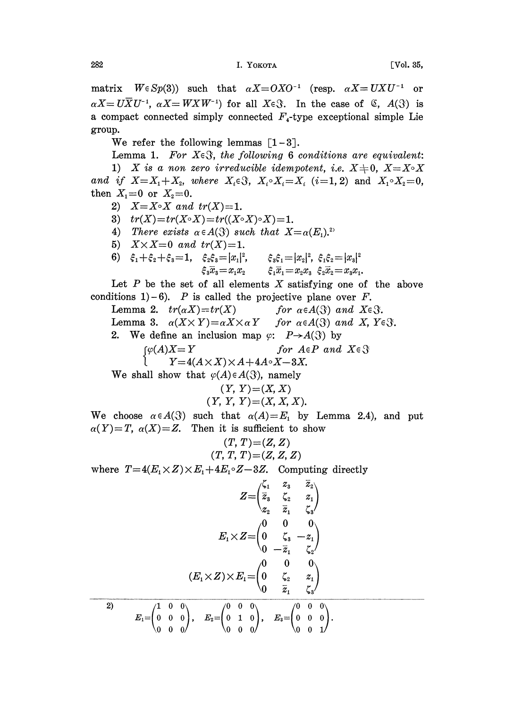matrix  $W \in Sp(3)$ ) such that  $\alpha X = OXO^{-1}$  (resp.  $\alpha X = UXU$ <br> $\alpha X = U\overline{X}U^{-1}$ ,  $\alpha X = WXW^{-1}$ ) for all  $X \in \mathcal{X}$ . In the case of  $\mathcal{X}$ , A matrix  $W \in Sp(3)$  such that  $\alpha X = O X O^{-1}$  (resp.  $\alpha X = U X U^{-1}$  or  $\alpha X = U \overline{X} U^{-1}$ ,  $\alpha X = W X W^{-1}$ ) for all  $X \in \mathcal{X}$ . In the case of  $\mathcal{X}$ ,  $A(\mathcal{X})$  is a compact connected simply connected  $F<sub>4</sub>$ -type exceptional simple Lie group.

We refer the following lemmas  $\lceil 1-3 \rceil$ .

Lemma 1. For  $X \in \mathcal{S}$ , the following 6 conditions are equivalent: 1) X is a non zero irreducible idempotent, i.e.  $X\neq 0$ ,  $X=X\circ X$ and if  $X=X_1+X_2$ , where  $X_i \in \mathcal{X}_i$ ,  $X_i \circ X_i = X_i$  (i=1, 2) and  $X_1 \circ X_2 = 0$ , then  $X_1 = 0$  or  $X_2 = 0$ .

- 2)  $X=X\circ X$  and  $tr(X)=1$ .
- 3)  $tr(X)=tr(X\circ X)=tr((X\circ X)\circ X)=1$ .
- 4) There exists  $\alpha \in A(S)$  such that  $X = \alpha(E_1)^{2\alpha}$
- 
- 5)  $X \times X = 0$  and  $tr(X) = 1$ .<br>6)  $\xi_1 + \xi_2 + \xi_3 = 1$ ,  $\xi_2 \xi_3 = |x_1|^2$ ,  $\xi_2 \xi_3 = |x_1|^2$ ,  $\xi_3 \xi_1 = |x_2|^2$ ,  $\xi_1 \xi_2 = |x_3|^2$ <br>  $\xi_3 \overline{x}_3 = x_1 x_2$   $\xi_1 \overline{x}_1 = x_2 x_3$   $\xi_2 \overline{x}_2 = x_3 x_1$ ,<br>
of all elements X satisfying one of the<br>
called the projective plane over F.<br>  $= tr(X)$  for  $\alpha \in A(\mathcal{X})$

Let  $P$  be the set of all elements  $X$  satisfying one of the above conditions  $1)-6$ ). P is called the projective plane over F.

Lemma 2.  $tr(\alpha X)=tr(X)$ Lemma 3.  $\alpha(X \times Y) = \alpha X \times \alpha Y$  for  $\alpha \in A(\mathcal{X})$  and X,  $Y \in \mathcal{X}$ . 2. We define an inclusion map  $\varphi: P \rightarrow A(\mathcal{X})$  by<br>  $\begin{cases} \varphi(A)X=Y & \text{for } A \in P \text{ and } X \in \mathcal{X} \end{cases}$ <br>  $\begin{cases} \n\varphi(A)X = Y & \text{for } A \in P \text{ and } X \in \mathcal{X} \end{cases}$  $Y=4(A\times X)\times A+4A\circ X-3X.$ We shall show that  $\varphi(A) \in A(\mathcal{X})$ , namely

$$
(Y, Y) = (X, X)
$$
  
(Y, Y, Y) = (X, X, X).

We choose  $\alpha \in A(S)$  such that  $\alpha(A)=E_1$  by Lemma 2.4), and put  $\alpha(Y)=T$ ,  $\alpha(X)=Z$ . Then it is sufficient to show

$$
(T, T) = (Z, Z)
$$
  

$$
(T, T, T) = (Z, Z, Z)
$$

where  $T=4(E_1\times Z)\times E_1+4E_1\circ Z-3Z$ . Computing directly

$$
Z = \begin{pmatrix} \zeta_1 & z_3 & \overline{z}_2 \\ \overline{z}_3 & \zeta_2 & z_1 \\ z_2 & \overline{z}_1 & \zeta_3 \end{pmatrix}
$$

$$
E_1 \times Z = \begin{pmatrix} 0 & 0 & 0 \\ 0 & \zeta_3 & -z_1 \\ 0 & -\overline{z}_1 & \zeta_2 \end{pmatrix}
$$

$$
(E_1 \times Z) \times E_1 = \begin{pmatrix} 0 & 0 & 0 \\ 0 & \zeta_2 & z_1 \\ 0 & \overline{z}_1 & \zeta_3 \end{pmatrix}
$$

$$
E_1 = \begin{pmatrix} 1 & 0 & 0 \\ 0 & 0 & 0 \\ 0 & 0 & 0 \end{pmatrix}, \quad E_2 = \begin{pmatrix} 0 & 0 & 0 \\ 0 & 1 & 0 \\ 0 & 0 & 0 \end{pmatrix}, \quad E_3 = \begin{pmatrix} 0 & 0 & 0 \\ 0 & 0 & 0 \\ 0 & 0 & 1 \end{pmatrix}.
$$